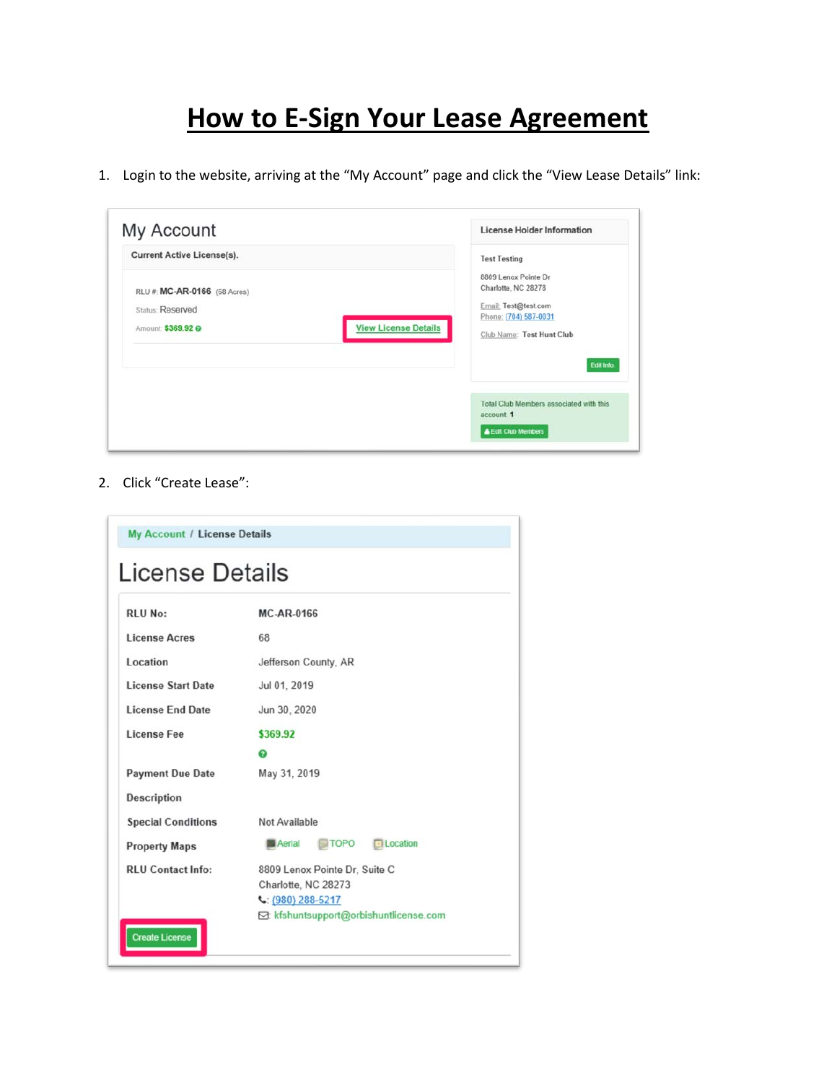# **How to E-Sign Your Lease Agreement**

1. Login to the website, arriving at the "My Account" page and click the "View Lease Details" link:



2. Click "Create Lease":

| <b>My Account / License Details</b> |                                                                          |  |  |
|-------------------------------------|--------------------------------------------------------------------------|--|--|
| License Details                     |                                                                          |  |  |
| RIU No:                             | <b>MC-AR-0166</b>                                                        |  |  |
| License Acres                       | 68                                                                       |  |  |
| Location                            | Jefferson County, AR                                                     |  |  |
| <b>License Start Date</b>           | Jul 01, 2019                                                             |  |  |
| <b>License End Date</b>             | Jun 30, 2020                                                             |  |  |
| License Fee                         | \$369.92                                                                 |  |  |
|                                     | ๋                                                                        |  |  |
| <b>Payment Due Date</b>             | May 31, 2019                                                             |  |  |
| Description                         |                                                                          |  |  |
| <b>Special Conditions</b>           | Not Available                                                            |  |  |
| <b>Property Maps</b>                | $\blacksquare$ TOPO<br><b>El Location</b><br><b>Aerial</b>               |  |  |
| <b>RLU</b> Contact Info:            | 8809 Lenox Pointe Dr, Suite C<br>Charlotte, NC 28273<br>$(980)$ 288-5217 |  |  |
| <b>Create License</b>               | ⊠: kfshuntsupport@orbishuntlicense.com                                   |  |  |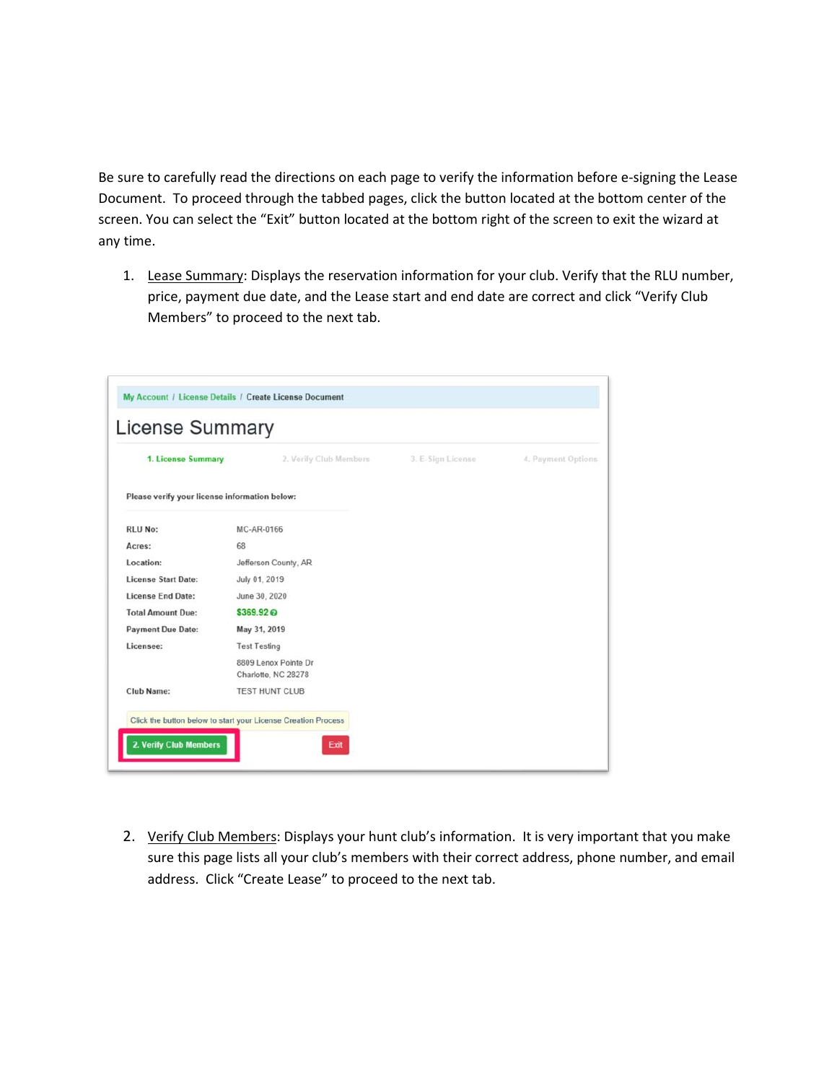Be sure to carefully read the directions on each page to verify the information before e-signing the Lease Document. To proceed through the tabbed pages, click the button located at the bottom center of the screen. You can select the "Exit" button located at the bottom right of the screen to exit the wizard at any time.

1. Lease Summary: Displays the reservation information for your club. Verify that the RLU number, price, payment due date, and the Lease start and end date are correct and click "Verify Club Members" to proceed to the next tab.

| <b>1. License Summary</b>                     | 2. Verify Club Members                       | 3. E-Sign License | 4. Payment Options |
|-----------------------------------------------|----------------------------------------------|-------------------|--------------------|
| Please verify your license information below: |                                              |                   |                    |
| RLU No:                                       | MC-AR-0166                                   |                   |                    |
| Acres:                                        | 68                                           |                   |                    |
| Location:                                     | Jefferson County, AR                         |                   |                    |
| <b>License Start Date:</b>                    | July 01, 2019                                |                   |                    |
| <b>License End Date:</b>                      | June 30, 2020                                |                   |                    |
| <b>Total Amount Due:</b>                      | \$369,92 @                                   |                   |                    |
| <b>Payment Due Date:</b>                      | May 31, 2019                                 |                   |                    |
| Licensee:                                     | <b>Test Testing</b>                          |                   |                    |
|                                               | 8809 Lenox Pointe Dr.<br>Charlotte, NC 28278 |                   |                    |
| <b>Club Name:</b>                             | <b>TEST HUNT CLUB</b>                        |                   |                    |

2. Verify Club Members: Displays your hunt club's information. It is very important that you make sure this page lists all your club's members with their correct address, phone number, and email address. Click "Create Lease" to proceed to the next tab.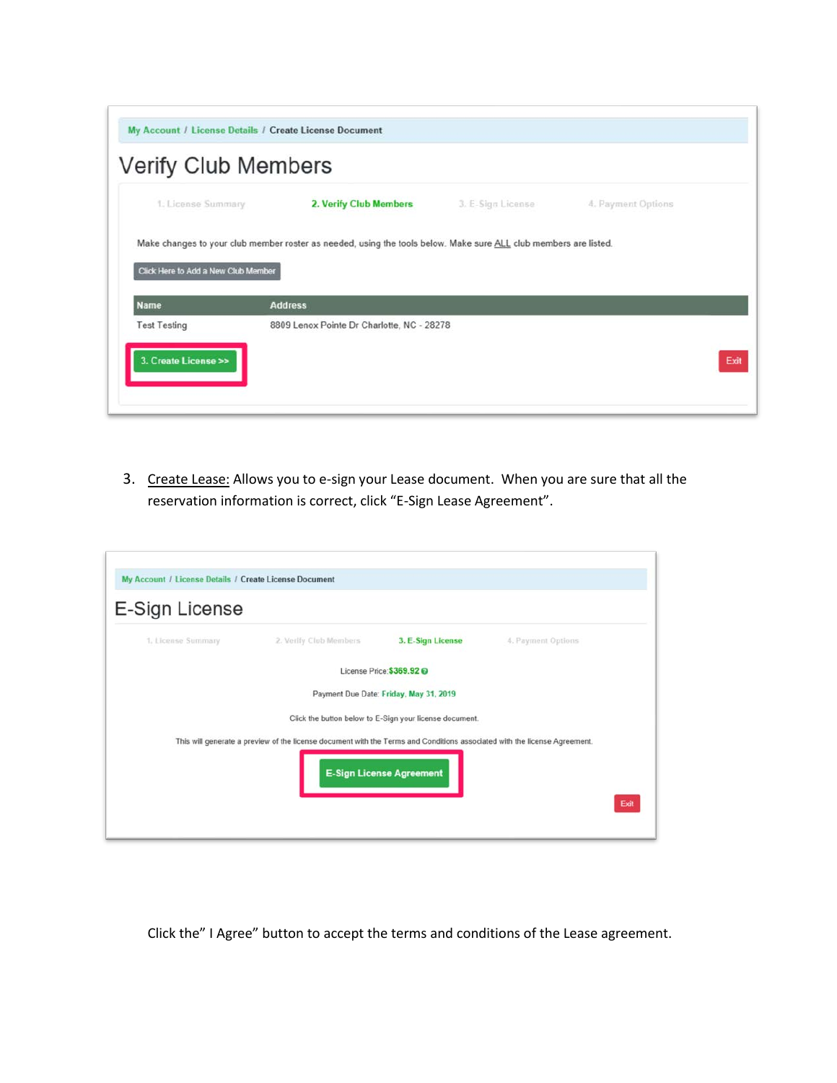|                                     | My Account / License Details / Create License Document                                                           |                   |                    |      |
|-------------------------------------|------------------------------------------------------------------------------------------------------------------|-------------------|--------------------|------|
| <b>Verify Club Members</b>          |                                                                                                                  |                   |                    |      |
| 1. License Summary                  | 2. Verify Club Members                                                                                           | 3. E-Sign License | 4. Payment Options |      |
|                                     | Make changes to your club member roster as needed, using the tools below. Make sure ALL club members are listed. |                   |                    |      |
| Click Here to Add a New Club Member |                                                                                                                  |                   |                    |      |
| <b>Name</b>                         | <b>Address</b>                                                                                                   |                   |                    |      |
| <b>Test Testing</b>                 | 8809 Lenox Pointe Dr Charlotte, NC - 28278                                                                       |                   |                    |      |
| 3. Create License >>                |                                                                                                                  |                   |                    | Exit |

3. Create Lease: Allows you to e-sign your Lease document. When you are sure that all the reservation information is correct, click "E-Sign Lease Agreement".

| My Account / License Details / Create License Document |                                                                                                                           |                                                         |                    |     |
|--------------------------------------------------------|---------------------------------------------------------------------------------------------------------------------------|---------------------------------------------------------|--------------------|-----|
| E-Sign License                                         |                                                                                                                           |                                                         |                    |     |
| 1. License Summary                                     | 2. Verify Club Members                                                                                                    | 3. E-Sign License                                       | 4. Payment Options |     |
|                                                        |                                                                                                                           | License Price: \$369.92 @                               |                    |     |
|                                                        |                                                                                                                           | Payment Due Date: Friday, May 31, 2019                  |                    |     |
|                                                        |                                                                                                                           | Click the button below to E-Sign your license document. |                    |     |
|                                                        | This will generate a preview of the license document with the Terms and Conditions associated with the license Agreement. |                                                         |                    |     |
|                                                        |                                                                                                                           | <b>E-Sign License Agreement</b>                         |                    |     |
|                                                        |                                                                                                                           |                                                         |                    | Exi |

Click the" I Agree" button to accept the terms and conditions of the Lease agreement.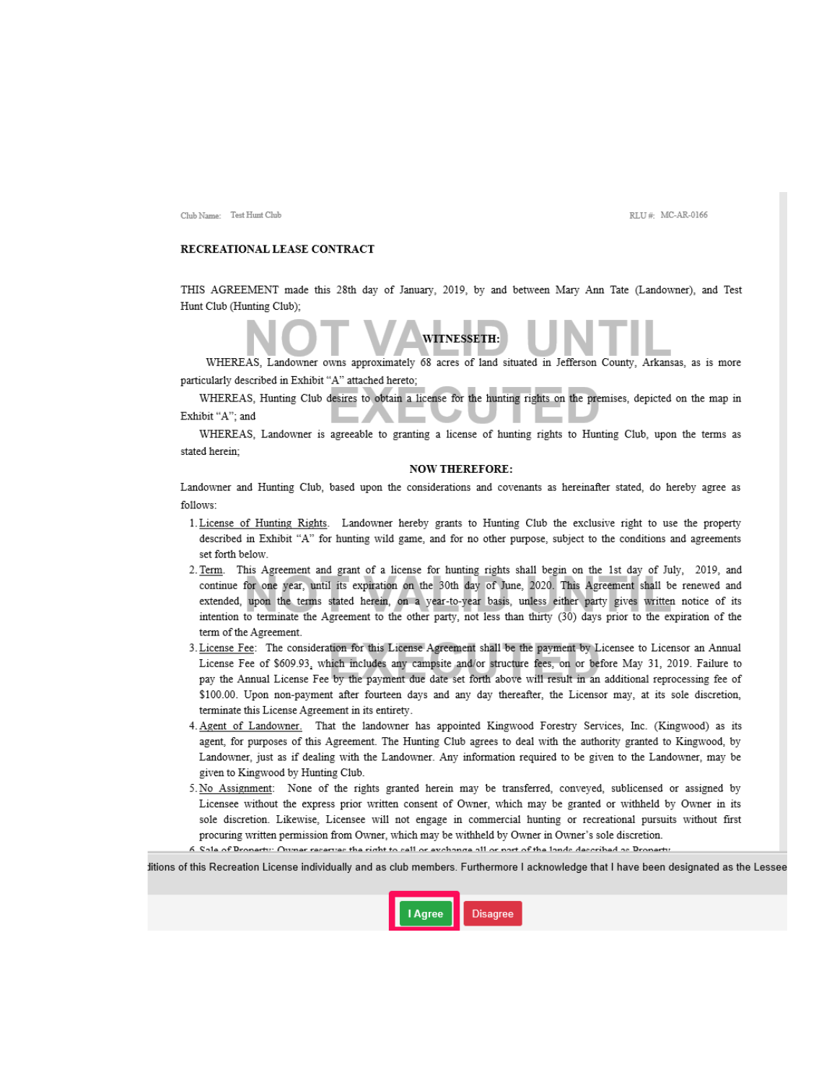Club Name: Test Hunt Club

RIJJ# MC-AR-0166

#### RECREATIONAL LEASE CONTRACT

THIS AGREEMENT made this 28th day of January, 2019, by and between Mary Ann Tate (Landowner), and Test Hunt Club (Hunting Club);

### **WITNESSETH:** WHEREAS, Landowner owns approximately 68 acres of land situated in Jefferson County, Arkansas, as is more

particularly described in Exhibit "A" attached hereto;

WHEREAS, Hunting Club desires to obtain a license for the hunting rights on the premises, depicted on the map in Exhibit "A"; and

WHEREAS, Landowner is agreeable to granting a license of hunting rights to Hunting Club, upon the terms as stated herein;

#### **NOW THEREFORE:**

Landowner and Hunting Club, based upon the considerations and covenants as hereinafter stated, do hereby agree as follows:

- 1. License of Hunting Rights. Landowner hereby grants to Hunting Club the exclusive right to use the property described in Exhibit "A" for hunting wild game, and for no other purpose, subject to the conditions and agreements set forth below.
- 2. Term. This Agreement and grant of a license for hunting rights shall begin on the 1st day of July, 2019, and continue for one year, until its expiration on the 30th day of June, 2020. This Agreement shall be renewed and extended, upon the terms stated herein, on a year-to-year basis, unless either party gives written notice of its intention to terminate the Agreement to the other party, not less than thirty (30) days prior to the expiration of the term of the Agreement.
- 3. License Fee: The consideration for this License Agreement shall be the payment by Licensee to Licensor an Annual License Fee of \$609.93, which includes any campsite and/or structure fees, on or before May 31, 2019. Failure to pay the Annual License Fee by the payment due date set forth above will result in an additional reprocessing fee of \$100.00. Upon non-payment after fourteen days and any day thereafter, the Licensor may, at its sole discretion, terminate this License Agreement in its entirety.
- 4. Agent of Landowner. That the landowner has appointed Kingwood Forestry Services, Inc. (Kingwood) as its agent, for purposes of this Agreement. The Hunting Club agrees to deal with the authority granted to Kingwood, by Landowner, just as if dealing with the Landowner. Any information required to be given to the Landowner, may be given to Kingwood by Hunting Club.
- 5. No Assignment: None of the rights granted herein may be transferred, conveyed, sublicensed or assigned by Licensee without the express prior written consent of Owner, which may be granted or withheld by Owner in its sole discretion. Likewise, Licensee will not engage in commercial hunting or recreational pursuits without first procuring written permission from Owner, which may be withheld by Owner in Owner's sole discretion.

6. Sala of Deonartu: Oumar racaruae tha right to call or avchanga all or nort of tha lande daeorihad as Dronartu

ditions of this Recreation License individually and as club members. Furthermore I acknowledge that I have been designated as the Lessee